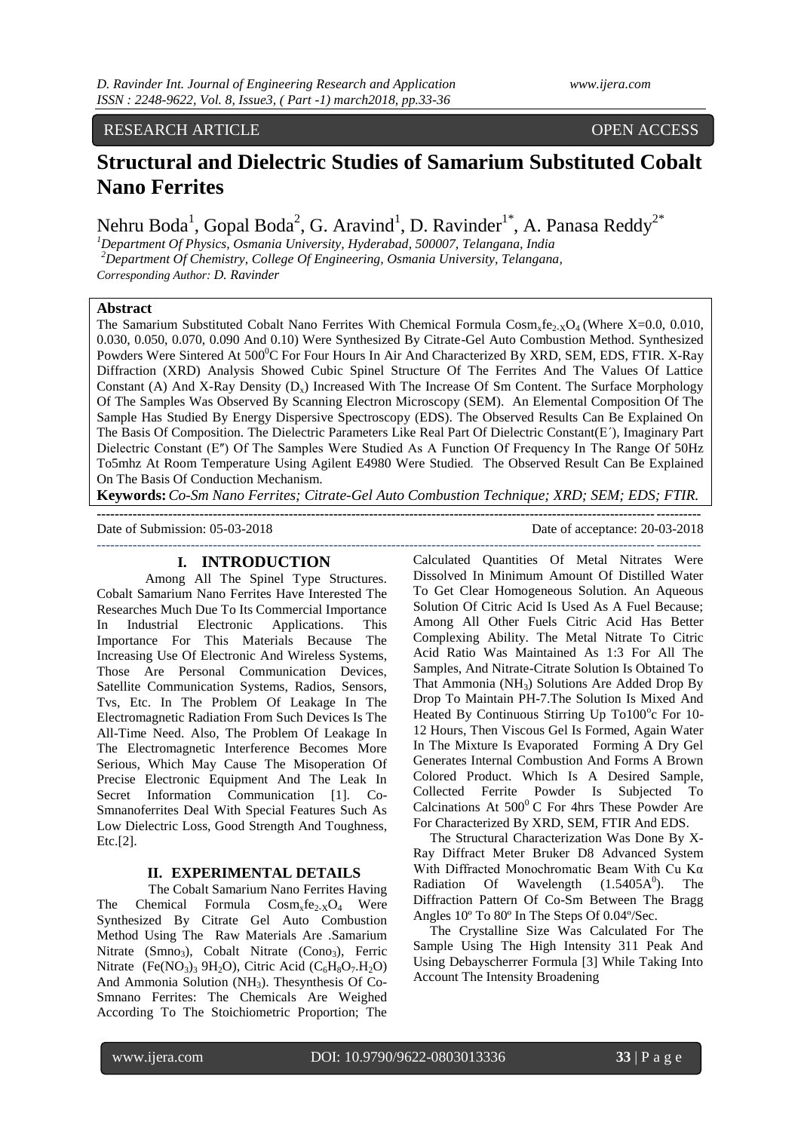# RESEARCH ARTICLE OPEN ACCESS

# **Structural and Dielectric Studies of Samarium Substituted Cobalt Nano Ferrites**

Nehru Boda<sup>1</sup>, Gopal Boda<sup>2</sup>, G. Aravind<sup>1</sup>, D. Ravinder<sup>1\*</sup>, A. Panasa Reddy<sup>2\*</sup>

*<sup>1</sup>Department Of Physics, Osmania University, Hyderabad, 500007, Telangana, India <sup>2</sup>Department Of Chemistry, College Of Engineering, Osmania University, Telangana, Corresponding Author: D. Ravinder*

#### **Abstract**

The Samarium Substituted Cobalt Nano Ferrites With Chemical Formula  $\text{Cosm}_x \text{fe}_{2} \times \text{O}_4$  (Where X=0.0, 0.010, 0.030, 0.050, 0.070, 0.090 And 0.10) Were Synthesized By Citrate-Gel Auto Combustion Method. Synthesized Powders Were Sintered At 500<sup>°</sup>C For Four Hours In Air And Characterized By XRD, SEM, EDS, FTIR. X-Ray Diffraction (XRD) Analysis Showed Cubic Spinel Structure Of The Ferrites And The Values Of Lattice Constant (A) And X-Ray Density  $(D_x)$  Increased With The Increase Of Sm Content. The Surface Morphology Of The Samples Was Observed By Scanning Electron Microscopy (SEM). An Elemental Composition Of The Sample Has Studied By Energy Dispersive Spectroscopy (EDS). The Observed Results Can Be Explained On The Basis Of Composition. The Dielectric Parameters Like Real Part Of Dielectric Constant(Εʹ), Imaginary Part Dielectric Constant (E<sup>n</sup>) Of The Samples Were Studied As A Function Of Frequency In The Range Of 50Hz To5mhz At Room Temperature Using Agilent E4980 Were Studied*.* The Observed Result Can Be Explained On The Basis Of Conduction Mechanism.

**Keywords:***Co-Sm Nano Ferrites; Citrate-Gel Auto Combustion Technique; XRD; SEM; EDS; FTIR.* **---------------------------------------------------------------------------------------------------------------------------------------**

**---------------------------------------------------------------------------------------------------------------------------------------**

Date of Submission: 05-03-2018 Date of acceptance: 20-03-2018

### **I. INTRODUCTION**

Among All The Spinel Type Structures. Cobalt Samarium Nano Ferrites Have Interested The Researches Much Due To Its Commercial Importance In Industrial Electronic Applications. This Importance For This Materials Because The Increasing Use Of Electronic And Wireless Systems, Those Are Personal Communication Devices, Satellite Communication Systems, Radios, Sensors, Tvs, Etc. In The Problem Of Leakage In The Electromagnetic Radiation From Such Devices Is The All-Time Need. Also, The Problem Of Leakage In The Electromagnetic Interference Becomes More Serious, Which May Cause The Misoperation Of Precise Electronic Equipment And The Leak In Secret Information Communication [1]. Co-Smnanoferrites Deal With Special Features Such As Low Dielectric Loss, Good Strength And Toughness, Etc.[2].

## **II. EXPERIMENTAL DETAILS**

 The Cobalt Samarium Nano Ferrites Having The Chemical Formula  $Cosm_xfe_{2-x}O_4$  Were Synthesized By Citrate Gel Auto Combustion Method Using The Raw Materials Are .Samarium Nitrate (Smno<sub>3</sub>), Cobalt Nitrate (Cono<sub>3</sub>), Ferric Nitrate (Fe(NO<sub>3</sub>)<sub>3</sub> 9H<sub>2</sub>O), Citric Acid (C<sub>6</sub>H<sub>8</sub>O<sub>7</sub>.H<sub>2</sub>O) And Ammonia Solution  $(NH<sub>3</sub>)$ . The synthesis Of Co-Smnano Ferrites: The Chemicals Are Weighed According To The Stoichiometric Proportion; The Calculated Quantities Of Metal Nitrates Were Dissolved In Minimum Amount Of Distilled Water To Get Clear Homogeneous Solution. An Aqueous Solution Of Citric Acid Is Used As A Fuel Because; Among All Other Fuels Citric Acid Has Better Complexing Ability. The Metal Nitrate To Citric Acid Ratio Was Maintained As 1:3 For All The Samples, And Nitrate-Citrate Solution Is Obtained To That Ammonia (NH3) Solutions Are Added Drop By Drop To Maintain PH-7.The Solution Is Mixed And Heated By Continuous Stirring Up To100°c For 10-12 Hours, Then Viscous Gel Is Formed, Again Water In The Mixture Is Evaporated Forming A Dry Gel Generates Internal Combustion And Forms A Brown Colored Product. Which Is A Desired Sample, Collected Ferrite Powder Is Subjected To Calcinations At  $500^{\circ}$  C For 4hrs These Powder Are For Characterized By XRD, SEM, FTIR And EDS.

 The Structural Characterization Was Done By X-Ray Diffract Meter Bruker D8 Advanced System With Diffracted Monochromatic Beam With Cu Kα Radiation Of Wavelength  $(1.5405A<sup>0</sup>)$ . ). The Diffraction Pattern Of Co-Sm Between The Bragg Angles 10º To 80º In The Steps Of 0.04º/Sec.

 The Crystalline Size Was Calculated For The Sample Using The High Intensity 311 Peak And Using Debayscherrer Formula [3] While Taking Into Account The Intensity Broadening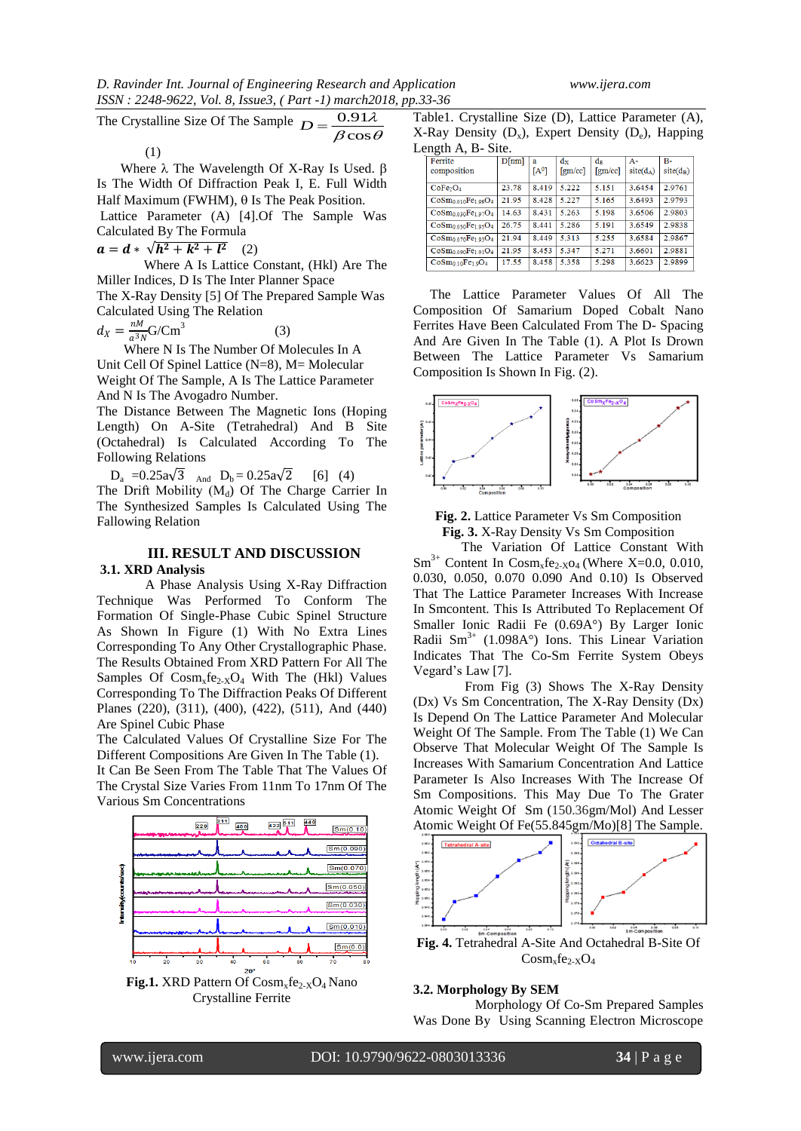The Crystalline Size Of The Sample  $\beta \cos \theta$ λ  $D = \frac{0.91}{\beta \cos \theta}$ 

(1)

Where  $\lambda$  The Wavelength Of X-Ray Is Used.  $\beta$ Is The Width Of Diffraction Peak I, E. Full Width Half Maximum (FWHM),  $\theta$  Is The Peak Position. Lattice Parameter (A) [4].Of The Sample Was

Calculated By The Formula  $a = d * \sqrt{h^2 + k^2 + l^2}$  (2)

 Where A Is Lattice Constant, (Hkl) Are The Miller Indices, D Is The Inter Planner Space

The X-Ray Density [5] Of The Prepared Sample Was Calculated Using The Relation

$$
d_X = \frac{nM}{a^3 N} \text{G/Cm}^3 \tag{3}
$$

 $\alpha_X - a_{3N} S$ . Since N Is The Number Of Molecules In A Unit Cell Of Spinel Lattice (N=8), M= Molecular Weight Of The Sample, A Is The Lattice Parameter And N Is The Avogadro Number.

The Distance Between The Magnetic Ions (Hoping Length) On A-Site (Tetrahedral) And B Site (Octahedral) Is Calculated According To The Following Relations

 $D_a = 0.25a\sqrt{3}$  And  $D_b = 0.25a\sqrt{2}$  [6] (4) The Drift Mobility  $(M_d)$  Of The Charge Carrier In The Synthesized Samples Is Calculated Using The Fallowing Relation

#### **III. RESULT AND DISCUSSION 3.1. XRD Analysis**

 A Phase Analysis Using X-Ray Diffraction Technique Was Performed To Conform The Formation Of Single-Phase Cubic Spinel Structure As Shown In Figure (1) With No Extra Lines Corresponding To Any Other Crystallographic Phase. The Results Obtained From XRD Pattern For All The Samples Of  $Cosm_xfe_{2-x}O_4$  With The (Hkl) Values Corresponding To The Diffraction Peaks Of Different Planes (220), (311), (400), (422), (511), And (440)

Are Spinel Cubic Phase The Calculated Values Of Crystalline Size For The Different Compositions Are Given In The Table (1). It Can Be Seen From The Table That The Values Of The Crystal Size Varies From 11nm To 17nm Of The Various Sm Concentrations



Fig.1. XRD Pattern Of Cosm<sub>x</sub>fe<sub>2-X</sub>O<sub>4</sub> Nano Crystalline Ferrite

Table1. Crystalline Size (D), Lattice Parameter (A), X-Ray Density  $(D_x)$ , Expert Density  $(D_e)$ , Happing Length A, B- Site.

| Ferrite                                                 | D[nm] | a       | dx               | $d_F$                        | $A -$       | <b>B-</b>   |
|---------------------------------------------------------|-------|---------|------------------|------------------------------|-------------|-------------|
| composition                                             |       | $[A^0]$ | $\text{[gm/cc]}$ | $\lceil \text{gm/cc} \rceil$ | $site(d_A)$ | $site(d_B)$ |
| CoFe <sub>2</sub> O <sub>4</sub>                        | 23.78 | 8.419   | 5.222            | 5.151                        | 3.6454      | 2.9761      |
| $CoSm0.010Fe1.90O4$                                     | 21.95 | 8.428   | 5.227            | 5.165                        | 3.6493      | 2.9793      |
| CoSm <sub>0.030</sub> Fe <sub>1.97</sub> O <sub>4</sub> | 14.63 | 8.431   | 5.263            | 5.198                        | 3.6506      | 2.9803      |
| $CoSm0.050Fe1.95O4$                                     | 26.75 | 8.441   | 5.286            | 5.191                        | 3.6549      | 2.9838      |
| $CoSm0070Fe103O4$                                       | 21.94 | 8.449   | 5.313            | 5.255                        | 3.6584      | 2.9867      |
| $\cos m_0$ 090 $Fe_1$ 91 $O_4$                          | 21.95 | 8.453   | 5.347            | 5.271                        | 3.6601      | 2.9881      |
| $CoSm0.10Fe1.9O4$                                       | 17.55 | 8.458   | 5.358            | 5.298                        | 3.6623      | 2.9899      |

 The Lattice Parameter Values Of All The Composition Of Samarium Doped Cobalt Nano Ferrites Have Been Calculated From The D- Spacing And Are Given In The Table (1). A Plot Is Drown Between The Lattice Parameter Vs Samarium Composition Is Shown In Fig. (2).





 The Variation Of Lattice Constant With  $\text{Sm}^{3+}$  Content In Cosm<sub>x</sub>fe<sub>2-X</sub>O<sub>4</sub> (Where X=0.0, 0.010, 0.030, 0.050, 0.070 0.090 And 0.10) Is Observed That The Lattice Parameter Increases With Increase In Smcontent. This Is Attributed To Replacement Of Smaller Ionic Radii Fe (0.69A°) By Larger Ionic Radii Sm<sup>3+</sup> (1.098A°) Ions. This Linear Variation Indicates That The Co-Sm Ferrite System Obeys Vegard's Law [7].

 From Fig (3) Shows The X-Ray Density (Dx) Vs Sm Concentration, The X-Ray Density (Dx) Is Depend On The Lattice Parameter And Molecular Weight Of The Sample. From The Table (1) We Can Observe That Molecular Weight Of The Sample Is Increases With Samarium Concentration And Lattice Parameter Is Also Increases With The Increase Of Sm Compositions. This May Due To The Grater Atomic Weight Of Sm (150.36gm/Mol) And Lesser Atomic Weight Of Fe(55.845gm/Mo)[8] The Sample.



#### **3.2. Morphology By SEM**

 Morphology Of Co-Sm Prepared Samples Was Done By Using Scanning Electron Microscope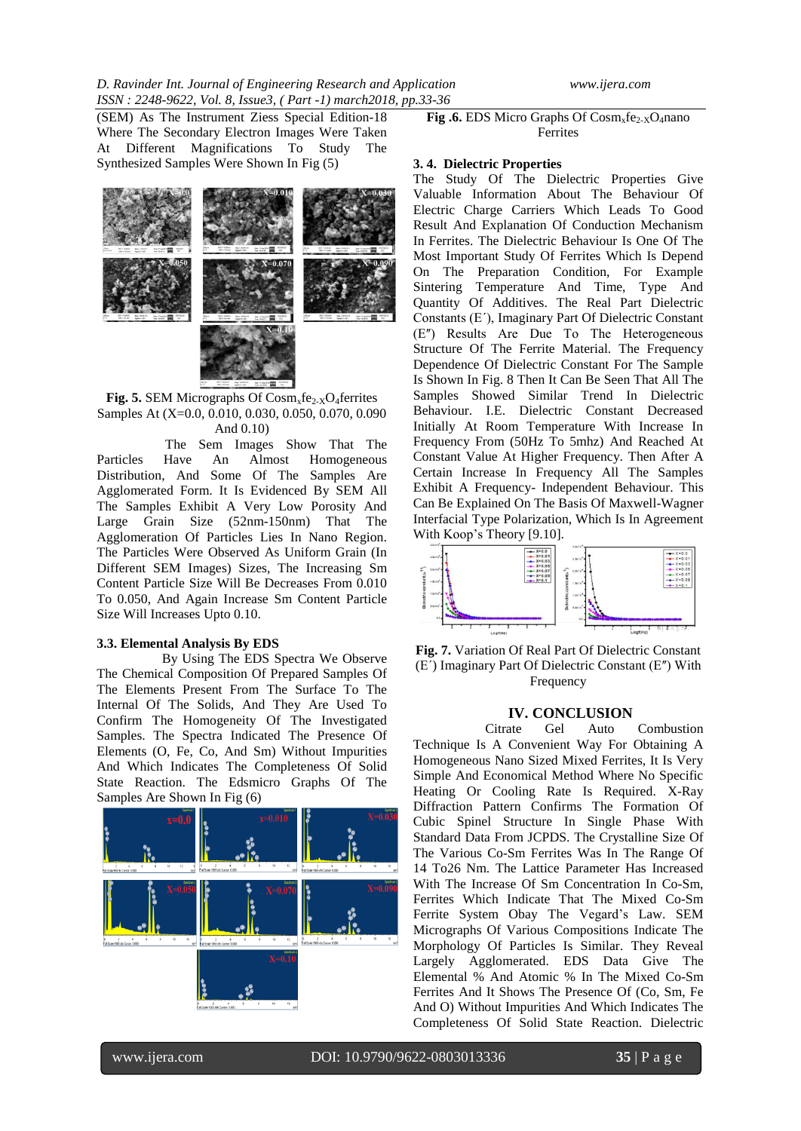(SEM) As The Instrument Ziess Special Edition-18 Where The Secondary Electron Images Were Taken At Different Magnifications To Study The Synthesized Samples Were Shown In Fig (5)



**Fig. 5.** SEM Micrographs Of  $\text{Cosm}_x\text{fe}_{2-X}\text{O}_4\text{ferrites}$ Samples At (X=0.0, 0.010, 0.030, 0.050, 0.070, 0.090 And 0.10)

 The Sem Images Show That The Particles Have An Almost Homogeneous Distribution, And Some Of The Samples Are Agglomerated Form. It Is Evidenced By SEM All The Samples Exhibit A Very Low Porosity And Large Grain Size (52nm-150nm) That The Agglomeration Of Particles Lies In Nano Region. The Particles Were Observed As Uniform Grain (In Different SEM Images) Sizes, The Increasing Sm Content Particle Size Will Be Decreases From 0.010 To 0.050, And Again Increase Sm Content Particle Size Will Increases Upto 0.10.

#### **3.3. Elemental Analysis By EDS**

 By Using The EDS Spectra We Observe The Chemical Composition Of Prepared Samples Of The Elements Present From The Surface To The Internal Of The Solids, And They Are Used To Confirm The Homogeneity Of The Investigated Samples. The Spectra Indicated The Presence Of Elements (O, Fe, Co, And Sm) Without Impurities And Which Indicates The Completeness Of Solid State Reaction. The Edsmicro Graphs Of The Samples Are Shown In Fig (6)



**Fig.6.** EDS Micro Graphs Of  $\overline{Cosm_x}$ fe<sub>2-X</sub>O<sub>4</sub>nano Ferrites

#### **3. 4. Dielectric Properties**

The Study Of The Dielectric Properties Give Valuable Information About The Behaviour Of Electric Charge Carriers Which Leads To Good Result And Explanation Of Conduction Mechanism In Ferrites. The Dielectric Behaviour Is One Of The Most Important Study Of Ferrites Which Is Depend On The Preparation Condition, For Example Sintering Temperature And Time, Type And Quantity Of Additives. The Real Part Dielectric Constants (Εʹ), Imaginary Part Of Dielectric Constant (Εʺ) Results Are Due To The Heterogeneous Structure Of The Ferrite Material. The Frequency Dependence Of Dielectric Constant For The Sample Is Shown In Fig. 8 Then It Can Be Seen That All The Samples Showed Similar Trend In Dielectric Behaviour. I.E. Dielectric Constant Decreased Initially At Room Temperature With Increase In Frequency From (50Hz To 5mhz) And Reached At Constant Value At Higher Frequency. Then After A Certain Increase In Frequency All The Samples Exhibit A Frequency- Independent Behaviour. This Can Be Explained On The Basis Of Maxwell-Wagner Interfacial Type Polarization, Which Is In Agreement With Koop's Theory [9.10].



**Fig. 7.** Variation Of Real Part Of Dielectric Constant (Εʹ) Imaginary Part Of Dielectric Constant (Εʺ) With Frequency

# **IV. CONCLUSION**<br>Citrate Gel Auto

Auto Combustion Technique Is A Convenient Way For Obtaining A Homogeneous Nano Sized Mixed Ferrites, It Is Very Simple And Economical Method Where No Specific Heating Or Cooling Rate Is Required. X-Ray Diffraction Pattern Confirms The Formation Of Cubic Spinel Structure In Single Phase With Standard Data From JCPDS. The Crystalline Size Of The Various Co-Sm Ferrites Was In The Range Of 14 To26 Nm. The Lattice Parameter Has Increased With The Increase Of Sm Concentration In Co-Sm, Ferrites Which Indicate That The Mixed Co-Sm Ferrite System Obay The Vegard's Law. SEM Micrographs Of Various Compositions Indicate The Morphology Of Particles Is Similar. They Reveal Largely Agglomerated. EDS Data Give The Elemental % And Atomic % In The Mixed Co-Sm Ferrites And It Shows The Presence Of (Co, Sm, Fe And O) Without Impurities And Which Indicates The Completeness Of Solid State Reaction. Dielectric